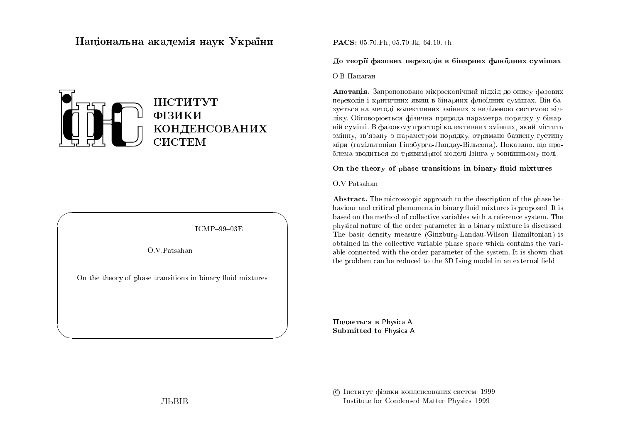# Національна академія наук України



 $ICMP-99-03E$ 

O V Patsahan

On the theory of phase transitions in binary fluid mixtures

### **PACS:** 05.70 Fh, 05.70 Jk, 64.10 +h

#### Ло теорії фазових перехолів в бінарних флюїлних сумішах

О.В.Папаган

Анотапія. Запропоновано мікроскопічний пілхіл ло опису фазових перехолів і критичних явиш в бінарних флюїлних сумішах. Він базується на метолі колективних змінних з виліленою системою вілліку. Обговорюється фізична природа параметра порядку у бінарній суміші. В фазовому просторі колективних змінних, який містить змінну, зв'язану з параметром порядку, отримано базисну густину міри (гамільтоніан Ґінзбурга-Ландау-Вільсона). Показано, що проблема зводиться до тривимірної моделі Ізінга у зовнішньому полі.

### On the theory of phase transitions in binary fluid mixtures

 $O.V.$  Patsahan

**Abstract.** The microscopic approach to the description of the phase behaviour and critical phenomena in binary fluid mixtures is proposed. It is based on the method of collective variables with a reference system. The physical nature of the order parameter in a binary mixture is discussed. The basic density measure (Ginzburg-Landau-Wilson Hamiltonian) is obtained in the collective variable phase space which contains the variable connected with the order parameter of the system. It is shown that the problem can be reduced to the 3D Ising model in an external field.

Подається в Physica A Submitted to Physica A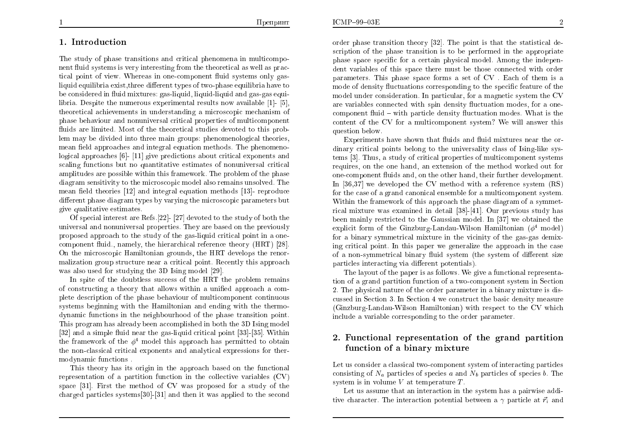## 1. Introduction

The study of phase transitions and critical phenomena in multicomponent fluid systems is very interesting from the theoretical as well as practical point of view. Whereas in one-component fluid systems only gasliquid equilibria exist, three different types of two-phase equilibria have to be considered in fluid mixtures: gas-liquid, liquid-liquid and gas-gas equilibria. Despite the numerous experimental results now available [1]- [5], theoretical achievements in understanding a microscopic mechanism of phase behaviour and nonuniversal critical properties of multicomponent fluids are limited. Most of the theoretical studies devoted to this problem may be divided into three main groups: phenomenological theories, mean field approaches and integral equation methods. The phenomenological approaches  $[6]$ - [11] give predictions about critical exponents and scaling functions but no quantitative estimates of nonuniversal critical amplitudes are possible within this framework. The problem of the phase diagram sensitivity to the microscopic model also remains unsolved. The mean field theories [12] and integral equation methods [13] reproduce different phase diagram types by varying the microscopic parameters but give qualitative estimates.

Of special interest are Refs. [22]  $\cdot$  [27] devoted to the study of both the universal and nonuniversal properties. They are based on the previously proposed approach to the study of the gas-liquid critical point in a onecomponent fluid., namely, the hierarchical reference theory (HRT) [28]. On the microscopic Hamiltonian grounds, the HRT develops the renormalization group structure near a critical point. Recently this approach was also used for studying the 3D Ising model [29].

In spite of the doubtless success of the HRT the problem remains of constructing a theory that allows within a unified approach a complete description of the phase behaviour of multicomponent continuous systems beginning with the Hamiltonian and ending with the thermodynamic functions in the neighbourhood of the phase transition point. This program has already been accomplished in both the 3D Ising model [32] and a simple fluid near the gas-liquid critical point [33]-[35]. Within the framework of the  $\phi^4$  model this approach has permitted to obtain the non-classical critical exponents and analytical expressions for thermodynamic functions.

This theory has its origin in the approach based on the functional representation of a partition function in the collective variables  $(CV)$ space [31]. First the method of CV was proposed for a study of the charged particles systems [30] - [31] and then it was applied to the second

order phase transition theory [32]. The point is that the statistical description of the phase transition is to be performed in the appropriate phase space specific for a certain physical model. Among the independent variables of this space there must be those connected with order parameters. This phase space forms a set of CV. Each of them is a mode of density fluctuations corresponding to the specific feature of the model under consideration. In particular, for a magnetic system the CV are variables connected with spin density fluctuation modes, for a onecomponent fluid – with particle density fluctuation modes. What is the content of the CV for a multicomponent system? We will answer this question below.

Experiments have shown that fluids and fluid mixtures near the ordinary critical points belong to the universality class of Ising-like systems [3]. Thus, a study of critical properties of multicomponent systems requires, on the one hand, an extension of the method worked out for one-component fluids and, on the other hand, their further development. In [36,37] we developed the CV method with a reference system  $(RS)$ for the case of a grand canonical ensemble for a multicomponent system. Within the framework of this approach the phase diagram of a symmetrical mixture was examined in detail [38]-[41]. Our previous study has been mainly restricted to the Gaussian model. In [37] we obtained the explicit form of the Ginzburg-Landau-Wilson Hamiltonian  $(\phi^4 \text{ model})$ for a binary symmetrical mixture in the vicinity of the gas-gas demixing critical point. In this paper we generalize the approach in the case of a non-symmetrical binary fluid system (the system of different size particles interacting via different potentials).

The layout of the paper is as follows. We give a functional representation of a grand partition function of a two-component system in Section 2. The physical nature of the order parameter in a binary mixture is discussed in Section 3. In Section 4 we construct the basic density measure (Ginzburg-Landau-Wilson Hamiltonian) with respect to the CV which include a variable corresponding to the order parameter.

# 2. Functional representation of the grand partition function of a binary mixture

Let us consider a classical two-component system of interacting particles consisting of  $N_a$  particles of species a and  $N_b$  particles of species b. The system is in volume  $V$  at temperature  $T$ .

Let us assume that an interaction in the system has a pairwise additive character. The interaction potential between a  $\gamma$  particle at  $\vec{r}_i$  and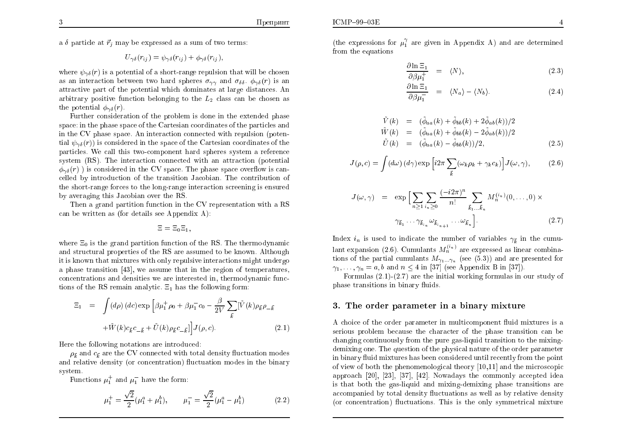a  $\delta$  particle at  $\vec{r}_i$  may be expressed as a sum of two terms:

$$
U_{\gamma\delta}(r_{ij}) = \psi_{\gamma\delta}(r_{ij}) + \phi_{\gamma\delta}(r_{ij}),
$$

where  $\psi_{\gamma\delta}(r)$  is a potential of a short-range repulsion that will be chosen as an interaction between two hard spheres  $\sigma_{\gamma\gamma}$  and  $\sigma_{\delta\delta}$ .  $\phi_{\gamma\delta}(r)$  is an attractive part of the potential which dominates at large distances. An arbitrary positive function belonging to the  $L_2$  class can be chosen as the potential  $\phi_{\gamma\delta}(r)$ .

Further consideration of the problem is done in the extended phase space: in the phase space of the Cartesian coordinates of the particles and in the CV phase space. An interaction connected with repulsion (potential  $\psi_{\gamma\delta}(r)$  is considered in the space of the Cartesian coordinates of the particles. We call this two-component hard spheres system a reference system (RS). The interaction connected with an attraction (potential  $\phi_{\gamma\delta}(r)$  is considered in the CV space. The phase space overflow is cancelled by introduction of the transition Jacobian. The contribution of the short-range forces to the long-range interaction screening is ensured by averaging this Jacobian over the RS.

Then a grand partition function in the CV representation with a RS can be written as (for details see Appendix A):

$$
\Xi=\Xi_0\Xi_1,
$$

where  $\Xi_0$  is the grand partition function of the RS. The thermodynamic and structural properties of the RS are assumed to be known. Although it is known that mixtures with only repulsive interactions might undergo a phase transition [43], we assume that in the region of temperatures, concentrations and densities we are interested in, thermodynamic functions of the RS remain analytic.  $\Xi_1$  has the following form:

$$
\Xi_1 = \int (d\rho) (dc) \exp \left[ \beta \mu_1^+ \rho_0 + \beta \mu_1^- c_0 - \frac{\beta}{2V} \sum_{\vec{k}} [\tilde{V}(k) \rho_{\vec{k}} \rho_{-\vec{k}} + \tilde{W}(k) c_{\vec{k}} c_{-\vec{k}} + \tilde{U}(k) \rho_{\vec{k}} c_{-\vec{k}}] \right] J(\rho, c).
$$
\n(2.1)

Here the following notations are introduced:

 $\rho_{\vec{k}}$  and  $c_{\vec{k}}$  are the CV connected with total density fluctuation modes and relative density (or concentration) fluctuation modes in the binary system.

Functions  $\mu_1^+$  and  $\mu_1^-$  have the form:

$$
\mu_1^+ = \frac{\sqrt{2}}{2} (\mu_1^a + \mu_1^b), \qquad \mu_1^- = \frac{\sqrt{2}}{2} (\mu_1^a - \mu_1^b) \tag{2.2}
$$

(the expressions for  $\mu_1^{\gamma}$  are given in Appendix A) and are determined from the equations

$$
\frac{\partial \ln \Xi_1}{\partial \beta \mu_1^+} = \langle N \rangle, \tag{2.3}
$$

$$
\frac{\partial \ln \Xi_1}{\partial \beta \mu_1^-} = \langle N_a \rangle - \langle N_b \rangle. \tag{2.4}
$$

$$
\begin{array}{rcl}\n\dot{V}(k) & = & (\ddot{\phi}_{aa}(k) + \ddot{\phi}_{bb}(k) + 2\dot{\phi}_{ab}(k))/2 \\
\tilde{W}(k) & = & (\ddot{\phi}_{aa}(k) + \ddot{\phi}_{bb}(k) - 2\ddot{\phi}_{ab}(k))/2 \\
\tilde{U}(k) & = & (\ddot{\phi}_{aa}(k) - \ddot{\phi}_{bb}(k))/2,\n\end{array}\n\tag{2.5}
$$

$$
J(\rho, c) = \int (d\omega) \, (d\gamma) \exp\left[i2\pi \sum_{\vec{k}} (\omega_k \rho_k + \gamma_k c_k)\right] J(\omega, \gamma),\tag{2.6}
$$

$$
J(\omega, \gamma) = \exp\Big[\sum_{n\geq 1} \sum_{i_n\geq 0} \frac{(-i2\pi)^n}{n!} \sum_{\vec{k}_1...\vec{k}_n} M_n^{(i_n)}(0, \dots, 0) \times
$$

$$
\gamma_{\vec{k}_1} \dots \gamma_{\vec{k}_{i_n}} \omega_{\vec{k}_{i_{n+1}}} \dots \omega_{\vec{k}_n}\Big].
$$
 (2.7)

Index  $i_n$  is used to indicate the number of variables  $\gamma_{\vec{k}}$  in the cumulant expansion (2.6). Cumulants  $M_n^{(i_n)}$  are expressed as linear combinations of the partial cumulants  $M_{\gamma_1...\gamma_n}$  (see (5.3)) and are presented for  $\gamma_1, \ldots, \gamma_n = a, b$  and  $n \leq 4$  in [37] (see Appendix B in [37]).

Formulas  $(2.1)$ - $(2.7)$  are the initial working formulas in our study of phase transitions in binary fluids.

### 3. The order parameter in a binary mixture

A choice of the order parameter in multicomponent fluid mixtures is a serious problem because the character of the phase transition can be changing continuously from the pure gas-liquid transition to the mixingdemixing one. The question of the physical nature of the order parameter in binary fluid mixtures has been considered until recently from the point of view of both the phenomenological theory  $[10,11]$  and the microscopic approach [20], [23], [37], [42]. Nowadays the commonly accepted idea is that both the gas-liquid and mixing-demixing phase transitions are accompanied by total density fluctuations as well as by relative density (or concentration) fluctuations. This is the only symmetrical mixture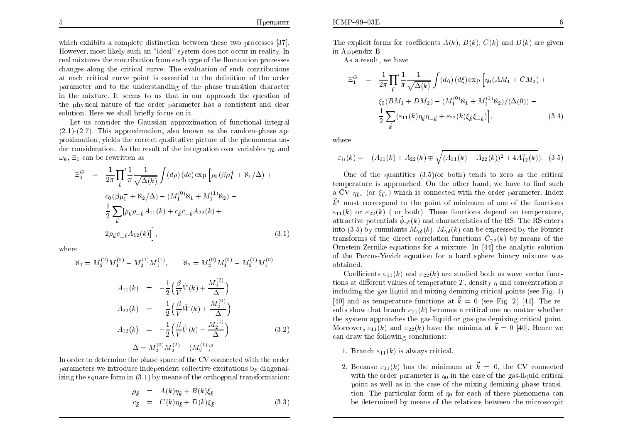which exhibits a complete distinction between these two processes [37]. However, most likely such an "ideal" system does not occur in reality. In real mixtures the contribution from each type of the fluctuation processes changes along the critical curve. The evaluation of such contributions at each critical curve point is essential to the definition of the order parameter and to the understanding of the phase transition character in the mixture. It seems to us that in our approach the question of the physical nature of the order parameter has a consistent and clear solution. Here we shall briefly focus on it.

Let us consider the Gaussian approximation of functional integral  $(2.1)-(2.7)$ . This approximation, also known as the random-phase approximation, yields the correct qualitative picture of the phenomena under consideration. As the result of the integration over variables  $\gamma_k$  and  $\omega_k$ ,  $\Xi_1$  can be rewritten as

$$
\Xi_1^G = \frac{1}{2\pi} \prod_{\vec{k}}' \frac{1}{\pi} \frac{1}{\sqrt{\Delta(k)}} \int (d\rho) \, (dc) \exp \left[ \rho_0 (\beta \mu_1^+ + \aleph_1/\Delta) + c_0 (\beta \mu_1^- + \aleph_2/\Delta) - (M_1^{(0)} \aleph_1 + M_1^{(1)} \aleph_2) - \frac{1}{2} \sum_{\vec{k}} [\rho_{\vec{k}} \rho_{-\vec{k}} A_{11}(k) + c_{\vec{k}} c_{-\vec{k}} A_{22}(k) + 2\rho_{\vec{k}} c_{-\vec{k}} A_{12}(k)] \right], \tag{3.1}
$$

where

$$
\aleph_1 = M_2^{(2)} M_1^{(0)} - M_2^{(1)} M_1^{(1)}, \qquad \aleph_2 = M_2^{(0)} M_1^{(0)} - M_2^{(1)} M_1^{(0)}
$$
  

$$
A_{11}(k) = -\frac{1}{2} \left( \frac{\beta}{V} \tilde{V}(k) + \frac{M_2^{(2)}}{\Delta} \right)
$$
  

$$
A_{22}(k) = -\frac{1}{2} \left( \frac{\beta}{V} \tilde{W}(k) + \frac{M_2^{(0)}}{\Delta} \right)
$$
  

$$
A_{12}(k) = -\frac{1}{2} \left( \frac{\beta}{V} \tilde{U}(k) - \frac{M_2^{(1)}}{\Delta} \right)
$$
  

$$
\Delta = M_2^{(0)} M_2^{(2)} - (M_2^{(1)})^2.
$$
 (3.2)

In order to determine the phase space of the CV connected with the order parameters we introduce independent collective excitations by diagonalizing the square form in  $(3.1)$  by means of the orthogonal transformation:

$$
\rho_{\vec{k}} = A(k)\eta_{\vec{k}} + B(k)\xi_{\vec{k}} \n c_{\vec{k}} = C(k)\eta_{\vec{k}} + D(k)\xi_{\vec{k}}.
$$
\n(3.3)

The explicit forms for coefficients  $A(k)$ ,  $B(k)$ ,  $C(k)$  and  $D(k)$  are given in Appendix B.

As a result, we have

$$
\Xi_1^G = \frac{1}{2\pi} \prod_{\vec{k}}' \frac{1}{\pi} \frac{1}{\sqrt{\Delta(k)}} \int (d\eta) \ (d\xi) \exp \left[ \eta_0 (AM_1 + CM_2) + \xi_0 (BM_1 + DM_2) - (M_1^{(0)} \aleph_1 + M_1^{(1)} \aleph_2) / (\Delta(0)) - \frac{1}{2} \sum_{\vec{k}} (\varepsilon_{11}(k) \eta_{\vec{k}} \eta_{-\vec{k}} + \varepsilon_{22}(k) \xi_{\vec{k}} \xi_{-\vec{k}}) \right], \tag{3.4}
$$

where

$$
\varepsilon_{ii}(k) = -(A_{11}(k) + A_{22}(k) \mp \sqrt{(A_{11}(k) - A_{22}(k))^2 + 4A_{12}^2(k)}). \tag{3.5}
$$

One of the quantities  $(3.5)(or both)$  tends to zero as the critical temperature is approached. On the other hand, we have to find such a CV  $\eta_{\vec{k}^*}$  (or  $\xi_{\vec{k}^*}$ ) which is connected with the order parameter. Index  $\vec{k}^*$  must correspond to the point of minimum of one of the functions  $\varepsilon_{11}(k)$  or  $\varepsilon_{22}(k)$  ( or both). These functions depend on temperature, attractive potentials  $\phi_{\gamma\delta}(k)$  and characteristics of the RS. The RS enters into (3.5) by cumulants  $M_{\gamma\delta}(k)$ .  $M_{\gamma\delta}(k)$  can be expressed by the Fourier transforms of the direct correlation functions  $C_{\gamma\delta}(k)$  by means of the Ornstein-Zernike equations for a mixture. In [44] the analytic solution of the Percus-Yevick equation for a hard sphere binary mixture was obtained.

Coefficients  $\varepsilon_{11}(k)$  and  $\varepsilon_{22}(k)$  are studied both as wave vector functions at different values of temperature T, density  $\eta$  and concentration x including the gas-liquid and mixing-demixing critical points (see Fig. 1) [40] and as temperature functions at  $\vec{k} = 0$  (see Fig. 2) [41]. The results show that branch  $\varepsilon_{11}(k)$  becomes a critical one no matter whether the system approaches the gas-liquid or gas-gas demixing critical point. Moreover,  $\varepsilon_{11}(k)$  and  $\varepsilon_{22}(k)$  have the minima at  $\vec{k} = 0$  [40]. Hence we can draw the following conclusions:

- 1. Branch  $\varepsilon_{11}(k)$  is always critical
- 2. Because  $\varepsilon_{11}(k)$  has the minimum at  $\vec{k} = 0$ , the CV connected with the order parameter is  $\eta_0$  in the case of the gas-liquid critical point as well as in the case of the mixing-demixing phase transition. The particular form of  $\eta_0$  for each of these phenomena can be determined by means of the relations between the microscopic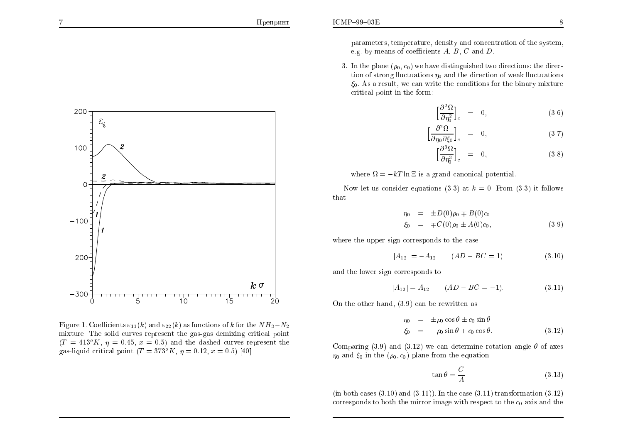

Figure 1. Coefficients  $\varepsilon_{11}(k)$  and  $\varepsilon_{22}(k)$  as functions of k for the  $NH_3-N_2$ mixture. The solid curves represent the gas-gas demixing critical point  $(T = 413^{\circ} K, \eta = 0.45, x = 0.5)$  and the dashed curves represent the gas-liquid critical point  $(T = 373^\circ K, \eta = 0.12, x = 0.5)$  [40]

parameters, temperature, density and concentration of the system, e.g. by means of coefficients  $A, B, C$  and  $D$ .

3. In the plane  $(\rho_0, c_0)$  we have distinguished two directions: the direction of strong fluctuations  $\eta_0$  and the direction of weak fluctuations  $\xi_0$ . As a result, we can write the conditions for the binary mixture critical point in the form:

$$
\left[\frac{\partial^2 \Omega}{\partial \eta_0^2}\right]_c = 0, \tag{3.6}
$$

$$
\left[\frac{\partial^2 \Omega}{\partial \eta_0 \partial \xi_0}\right]_c = 0, \tag{3.7}
$$

$$
\left[\frac{\partial^3 \Omega}{\partial \eta_0^3}\right]_c = 0, \tag{3.8}
$$

where  $\Omega = -kT \ln \Xi$  is a grand canonical potential.

Now let us consider equations (3.3) at  $k = 0$ . From (3.3) it follows that

$$
\eta_0 = \pm D(0)\rho_0 \mp B(0)c_0 \n\xi_0 = \mp C(0)\rho_0 \pm A(0)c_0,
$$
\n(3.9)

where the upper sign corresponds to the case

$$
|A_{12}| = -A_{12} \qquad (AD - BC = 1) \tag{3.10}
$$

and the lower sign corresponds to

$$
|A_{12}| = A_{12} \qquad (AD - BC = -1). \tag{3.11}
$$

On the other hand,  $(3.9)$  can be rewritten as

$$
\eta_0 = \pm \rho_0 \cos \theta \pm c_0 \sin \theta
$$
  
\n
$$
\xi_0 = -\rho_0 \sin \theta + c_0 \cos \theta.
$$
 (3.12)

Comparing (3.9) and (3.12) we can determine rotation angle  $\theta$  of axes  $\eta_0$  and  $\xi_0$  in the  $(\rho_0, c_0)$  plane from the equation

$$
\tan \theta = \frac{C}{A} \tag{3.13}
$$

(in both cases  $(3.10)$  and  $(3.11)$ ). In the case  $(3.11)$  transformation  $(3.12)$ ) corresponds to both the mirror image with respect to the  $c_0$  axis and the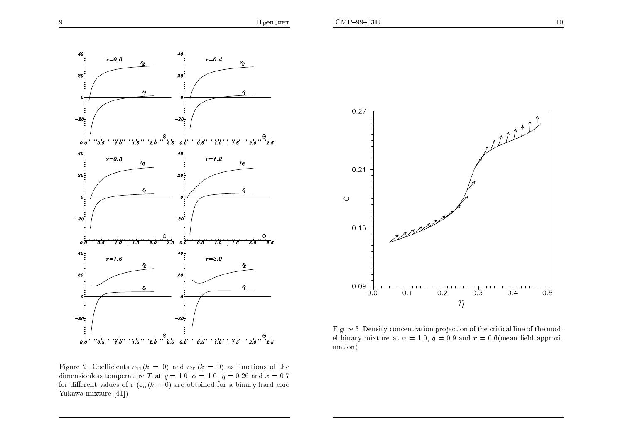

Figure 2. Coefficients  $\varepsilon_{11}(k = 0)$  and  $\varepsilon_{22}(k = 0)$  as functions of the dimensionless temperature T at  $q = 1.0$ ,  $\alpha = 1.0$ ,  $\eta = 0.26$  and  $x = 0.7$ for different values of r  $(\varepsilon_{ii}(k=0))$  are obtained for a binary hard core Yukawa mixture [41])



Figure 3. Density-concentration projection of the critical line of the model binary mixture at  $\alpha = 1.0$ ,  $q = 0.9$  and  $r = 0.6$ (mean field approximation)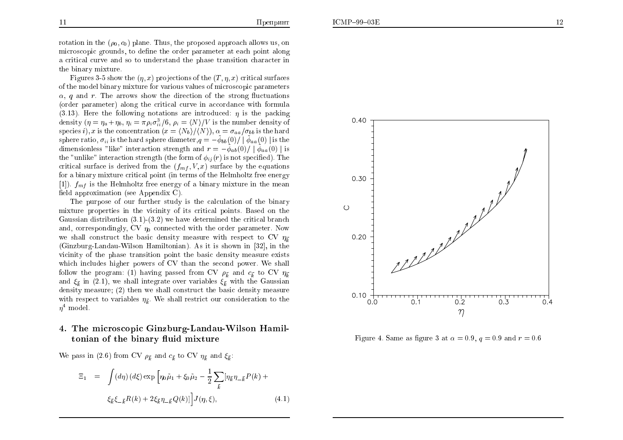the binary mixture. Figures 3-5 show the  $(\eta, x)$  projections of the  $(T, \eta, x)$  critical surfaces of the model binary mixture for various values of microscopic parameters  $\alpha$ , q and r. The arrows show the direction of the strong fluctuations (order parameter) along the critical curve in accordance with formula (3.13). Here the following notations are introduced:  $\eta$  is the packing density  $(\eta = \eta_a + \eta_b, \eta_i = \pi \rho_i \sigma_i^3 / 6, \rho_i = \langle N \rangle / V$  is the number density of species i), x is the concentration  $(x = \langle N_b \rangle / \langle N \rangle)$ ,  $\alpha = \sigma_{aa}/\sigma_{bb}$  is the hard sphere ratio,  $\sigma_{ii}$  is the hard sphere diameter,  $q = -\tilde{\phi}_{bb}(0)/|\tilde{\phi}_{aa}(0)|$  is the dimensionless "like" interaction strength and  $r = -\tilde{\phi}_{ab}(0)/|\tilde{\phi}_{aa}(0)|$  is the "unlike" interaction strength (the form of  $\phi_{ij}(r)$  is not specified). The critical surface is derived from the  $(f_{mf}, V, x)$  surface by the equations  $f_{s}$  is a subset of the Halph site from properties for <sup>a</sup> binary mixture critical point (in terms of the Helmholtz free energy [1]).  $f_{mf}$  is the Helmholtz free energy of a binary mixture in the mean field approximation (see Appendix C).

The purpose of our further study is the calculation of the binary mixture properties in the vicinity of its critical points. Based on the Gaussian distribution (3.1)-(3.2) we have determined the critical branch and, correspondingly, CV  $\eta_0$  connected with the order parameter. Now we shall construct the basic density measure with respect to CV  $\eta_{\vec{k}}$  (Ginzburg-Landau-Wilson Hamiltonian). As it is shown in [32], in the vicinity of the <sup>p</sup>hase transition point the basic density measure exists which includes higher powers of CV than the second power. We shall follow the program: (1) having passed from CV  $\rho_{\vec{k}}$  and  $c_{\vec{k}}$  to CV  $\eta_{\vec{k}}$ <br>and  $\zeta$  in (2.1) we shall integrate over regionalize  $\zeta$  with the Constitution and  $\xi_{\vec{k}}$  in (2.1), we shall integrate over variables  $\xi_{\vec{k}}$  with the Gaussian density measure; (2) then we shall construct the basic density measure with respect to variables  $\eta_{\vec{k}}$ . We shall restrict our consideration to the  $\eta^4$  model.

# 4. The microscopic Ginzburg-Landau-Wilson Hamiltonian of the binary fluid mixture

We pass in (2.6) from CV  $\rho_{\vec{k}}$  and  $c_{\vec{k}}$  to CV  $\eta_{\vec{k}}$  and  $\xi_{\vec{k}}$ :

$$
\Xi_1 = \int (d\eta) \, (d\xi) \exp \left[ \eta_0 \tilde{\mu}_1 + \xi_0 \tilde{\mu}_2 - \frac{1}{2} \sum_{\vec{k}} [\eta_{\vec{k}} \eta_{-\vec{k}} P(k) + \xi_{\vec{k}} \xi_{-\vec{k}} R(k) + 2 \xi_{\vec{k}} \eta_{-\vec{k}} Q(k)] \right] J(\eta, \xi), \tag{4.1}
$$





Figure 4. Same as figure 3 at  $\alpha = 0.9, q = 0.9$  and  $r = 0.6$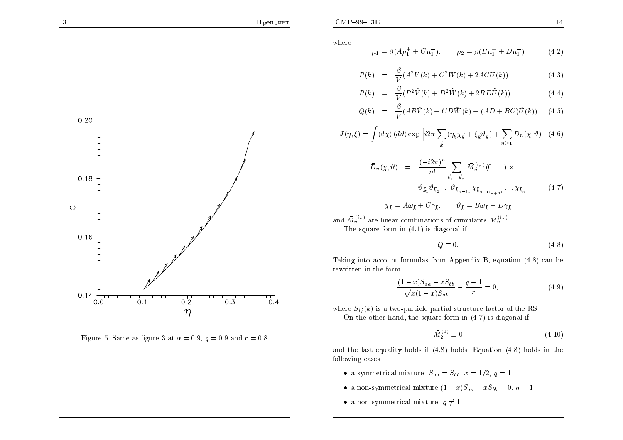

Figure 5. Same as figure 3 at  $\alpha = 0.9$ ,  $q = 0.9$  and  $r = 0.8$ 

where

$$
\tilde{\mu}_1 = \beta (A\mu_1^+ + C\mu_1^-), \qquad \tilde{\mu}_2 = \beta (B\mu_1^+ + D\mu_1^-) \tag{4.2}
$$

$$
P(k) = \frac{\beta}{V} (A^2 \tilde{V}(k) + C^2 \tilde{W}(k) + 2AC \tilde{U}(k))
$$
\n(4.3)

$$
R(k) = \frac{\beta}{V} (B^2 \tilde{V}(k) + D^2 \tilde{W}(k) + 2BD \tilde{U}(k))
$$
 (4.4)

$$
Q(k) = \frac{\beta}{V}(AB\tilde{V}(k) + CD\tilde{W}(k) + (AD + BC)\tilde{U}(k)) \tag{4.5}
$$

$$
J(\eta,\xi) = \int (d\chi) \, (d\vartheta) \exp\left[i2\pi \sum_{\vec{k}} (\eta_{\vec{k}} \chi_{\vec{k}} + \xi_{\vec{k}} \vartheta_{\vec{k}}) + \sum_{n \ge 1} \bar{D}_n(\chi,\vartheta) \right] \tag{4.6}
$$

$$
\bar{D}_n(\chi, \vartheta) = \frac{(-i2\pi)^n}{n!} \sum_{\vec{k}_1 \dots \vec{k}_n} \bar{M}_n^{(i_n)}(0, \dots) \times
$$

$$
\vartheta_{\vec{k}_1} \vartheta_{\vec{k}_2} \dots \vartheta_{\vec{k}_{n-i_n}} \chi_{\vec{k}_{n-(i_{n+1})}} \dots \chi_{\vec{k}_n} \tag{4.7}
$$

$$
\chi_{\vec{k}} = A\omega_{\vec{k}} + C\gamma_{\vec{k}}, \qquad \vartheta_{\vec{k}} = B\omega_{\vec{k}} + D\gamma_{\vec{k}}
$$

and  $\bar{M}_n^{(i_n)}$  are linear combinations of cumulants  $M_n^{(i_n)}$ .

The square form in  $(4.1)$  is diagonal if

$$
Q \equiv 0. \tag{4.8}
$$

Taking into account formulas from Appendix B, equation (4.8) can be rewritten in the form:

$$
\frac{(1-x)S_{aa} - xS_{bb}}{\sqrt{x(1-x)}S_{ab}} - \frac{q-1}{r} = 0,
$$
\n(4.9)

where  $S_{ij}(k)$  is a two-particle partial structure factor of the RS. On the other hand, the square form in  $(4.7)$  is diagonal if

$$
\bar{M}_2^{(1)} \equiv 0 \tag{4.10}
$$

and the last equality holds if  $(4.8)$  holds. Equation  $(4.8)$  holds in the following cases:

- a symmetrical mixture:  $S_{aa} = S_{bb}$ ,  $x = 1/2$ ,  $q = 1$
- a non-symmetrical mixture: $(1-x)S_{aa} xS_{bb} = 0, q = 1$
- a non-symmetrical mixture:  $q \neq 1$ .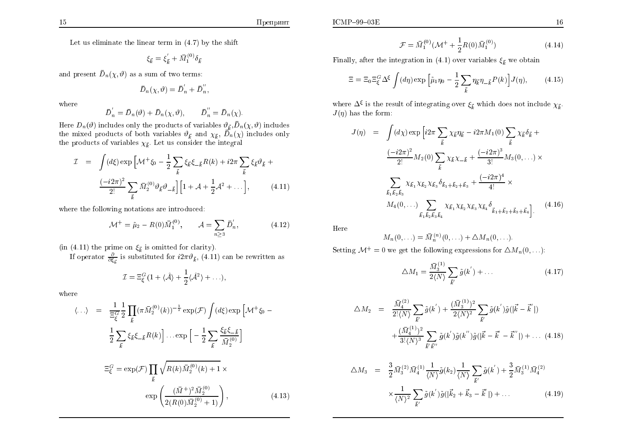$$
\xi_{\vec{k}} = \xi_{\vec{k}}^{'} + \bar{M}_1^{(0)} \delta_{\vec{k}}
$$

and present  $\bar{D}_n(\chi, \vartheta)$  as a sum of two terms:

$$
\bar{D}_n(\chi,\vartheta)=\bar{D}_n^{'}+\bar{D}_n^{''},
$$

where

$$
\overline{D}'_n = \overline{D}_n(\vartheta) + \overline{D}_n(\chi, \vartheta), \qquad \overline{D}''_n = \overline{D}_n(\chi)
$$

Here  $D_n(\vartheta)$  includes only the products of variables  $\vartheta_{\vec{k}}, \bar{D}_n(\chi, \vartheta)$  includes<br>the mixed products of both variables  $\vartheta_{\vec{k}}$  and  $\chi_{\vec{k}}, \bar{D}_n(\chi)$  includes only<br>the products of variables  $\chi_{\vec{k}}$ . Let us consi

$$
\mathcal{I} = \int (d\xi) \exp \left[ \mathcal{M}^+ \xi_0 - \frac{1}{2} \sum_{\vec{k}} \xi_{\vec{k}} \xi_{-\vec{k}} R(k) + i2\pi \sum_{\vec{k}} \xi_{\vec{k}} \vartheta_{\vec{k}} + \frac{(-i2\pi)^2}{2!} \sum_{\vec{k}} \bar{M}_2^{(0)} \vartheta_{\vec{k}} \vartheta_{-\vec{k}} \right] \left[ 1 + \mathcal{A} + \frac{1}{2} \mathcal{A}^2 + \dots \right], \tag{4.11}
$$

where the following notations are introduced:

$$
\mathcal{M}^+ = \tilde{\mu}_2 - R(0)\bar{M}_1^{(0)}, \qquad \mathcal{A} = \sum_{n \ge 3} \bar{D}'_n, \tag{4.12}
$$

(in (4.11) the prime on  $\xi_{\vec{k}}$  is omitted for clarity).<br>If operator  $\frac{\partial}{\partial \xi_{\vec{k}}}$  is substituted for  $i2\pi\vartheta_{\vec{k}}$ , (4.11) can be rewritten as

$$
\mathcal{I} = \Xi_{\xi}^{G} (1 + \langle \hat{\mathcal{A}} \rangle + \frac{1}{2} \langle \hat{\mathcal{A}}^{2} \rangle + \ldots),
$$

where

$$
\langle ... \rangle = \frac{1}{\Xi_{\xi}^{G}} \frac{1}{2} \prod_{\vec{k}} (\pi \bar{M}_{2}^{(0)}(k))^{-\frac{1}{2}} \exp(\mathcal{F}) \int (d\xi) \exp \left[ \mathcal{M}^{+} \xi_{0} - \frac{1}{2} \sum_{\vec{k}} \xi_{\vec{k}} \xi_{-\vec{k}} R(k) \right] \dots \exp \left[ -\frac{1}{2} \sum_{\vec{k}} \frac{\xi_{\vec{k}} \xi_{-\vec{k}}}{\bar{M}_{2}^{(0)}} \right]
$$

$$
\Xi_{\xi}^{G} = \exp(\mathcal{F}) \prod_{\vec{k}} \sqrt{R(k) \bar{M}_{2}^{(0)}(k) + 1} \times \exp \left( \frac{(\bar{M}^{+})^{2} \bar{M}_{2}^{(0)}}{2(R(0) \bar{M}_{2}^{(0)} + 1)} \right), \tag{4.13}
$$

$$
\mathcal{F} = \bar{M}_1^{(0)}(\mathcal{M}^+ + \frac{1}{2}R(0)\bar{M}_1^{(0)})
$$
\n(4.14)

Finally, after the integration in (4.1) over variables  $\xi_{\vec{k}}$  we obtain

$$
\Xi = \Xi_0 \Xi_\xi^G \Delta^\xi \int (d\eta) \exp\left[\tilde{\mu}_1 \eta_0 - \frac{1}{2} \sum_{\vec{k}} \eta_{\vec{k}} \eta_{-\vec{k}} P(k)\right] J(\eta), \tag{4.15}
$$

where  $\Delta^{\xi}$  is the result of integrating over  $\xi_{\vec{k}}$  which does not include  $\chi_{\vec{k}}$ .  $J(\eta)$  has the form:

$$
J(\eta) = \int (d\chi) \exp \left[ i2\pi \sum_{\vec{k}} \chi_{\vec{k}} \eta_{\vec{k}} - i2\pi M_1(0) \sum_{\vec{k}} \chi_{\vec{k}} \delta_{\vec{k}} + \frac{(-i2\pi)^2}{2!} M_2(0) \sum_{\vec{k}} \chi_{\vec{k}} \chi_{-\vec{k}} + \frac{(-i2\pi)^3}{3!} M_3(0, \ldots) \times \sum_{\vec{k}_1 \vec{k}_2 \vec{k}_3} \chi_{\vec{k}_1} \chi_{\vec{k}_2} \chi_{\vec{k}_3} \delta_{\vec{k}_1 + \vec{k}_2 + \vec{k}_3} + \frac{(-i2\pi)^4}{4!} \times M_4(0, \ldots) \sum_{\vec{k}_1 \vec{k}_2 \vec{k}_3 \vec{k}_4} \chi_{\vec{k}_1} \chi_{\vec{k}_2} \chi_{\vec{k}_3} \chi_{\vec{k}_4} \delta_{\vec{k}_1 + \vec{k}_2 + \vec{k}_3 + \vec{k}_4} \right].
$$
 (4.16)

Here

$$
M_n(0,\ldots) = \overline{M}_n^{(n)}(0,\ldots) + \Delta M_n(0,\ldots).
$$

Setting  $\mathcal{M}^+ = 0$  we get the following expressions for  $\Delta M_n(0,...)$ :

$$
\Delta M_1 = \frac{\bar{M}_3^{(1)}}{2 \langle N \rangle} \sum_{\vec{k}'} \tilde{g}(k') + \dots \tag{4.17}
$$

$$
\Delta M_2 = \frac{\bar{M}_4^{(2)}}{2! \langle N \rangle} \sum_{\vec{k'}} \tilde{g}(k') + \frac{(\bar{M}_3^{(1)})^2}{2 \langle N \rangle^2} \sum_{\vec{k'}} \tilde{g}(k') \tilde{g}(|\vec{k} - \vec{k'}|)
$$
  
+ 
$$
\frac{(\bar{M}_4^{(1)})^2}{3! \langle N \rangle^3} \sum_{\vec{k'} \vec{k''}} \tilde{g}(k') \tilde{g}(k'') \tilde{g}(|\vec{k} - \vec{k}' - \vec{k''}|) + \dots (4.18)
$$

$$
\Delta M_3 = \frac{3}{2} \bar{M}_3^{(2)} \bar{M}_4^{(1)} \frac{1}{\langle N \rangle} \tilde{g}(k_2) \frac{1}{\langle N \rangle} \sum_{\vec{k}'} \tilde{g}(k') + \frac{3}{2} \bar{M}_3^{(1)} \bar{M}_4^{(2)} \times \frac{1}{\langle N \rangle^2} \sum_{\vec{k}'} \tilde{g}(k') \tilde{g}(|\vec{k}_2 + \vec{k}_3 - \vec{k}'|) + \dots
$$
\n(4.19)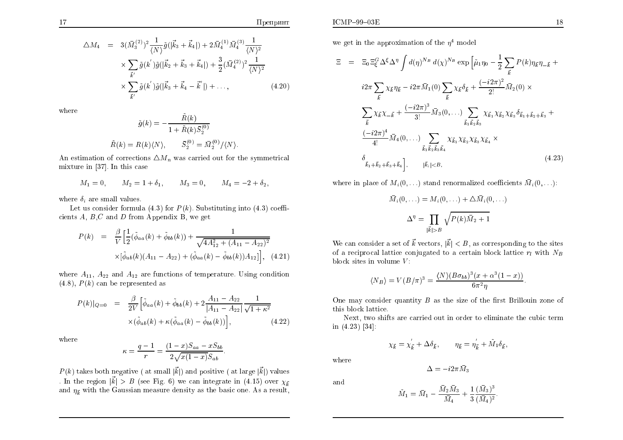$$
\Delta M_4 = 3(\bar{M}_3^{(2)})^2 \frac{1}{\langle N \rangle} \tilde{g}(|\vec{k}_3 + \vec{k}_4|) + 2\bar{M}_4^{(1)} \bar{M}_4^{(3)} \frac{1}{\langle N \rangle^2} \times \sum_{\vec{k'}} \tilde{g}(k') \tilde{g}(|\vec{k}_2 + \vec{k}_3 + \vec{k}_4|) + \frac{3}{2} (\bar{M}_4^{(2)})^2 \frac{1}{\langle N \rangle^2} \times \sum_{\vec{k'}} \tilde{g}(k') \tilde{g}(|\vec{k}_3 + \vec{k}_4 - \vec{k'}|) + ...,
$$
\n(4.20)

where

$$
\tilde{g}(k) = -\frac{R(k)}{1 + \tilde{R}(k)\bar{S}_2^{(0)}}
$$

$$
\tilde{R}(k) = R(k)\langle N \rangle, \qquad \bar{S}_2^{(0)} = \bar{M}_2^{(0)}/\langle N \rangle
$$

An estimation of corrections  $\Delta M_n$  was carried out for the symmetrical mixture in [37]. In this case

$$
M_1 = 0
$$
,  $M_2 = 1 + \delta_1$ ,  $M_3 = 0$ ,  $M_4 = -2 + \delta_2$ ,

where  $\delta_i$  are small values.

Let us consider formula (4.3) for  $P(k)$ . Substituting into (4.3) coefficients  $A, B, C$  and  $D$  from Appendix B, we get

$$
P(k) = \frac{\beta}{V} \Big[ \frac{1}{2} (\tilde{\phi}_{aa}(k) + \tilde{\phi}_{bb}(k)) + \frac{1}{\sqrt{4A_{12}^2 + (A_{11} - A_{22})^2}} \times [\tilde{\phi}_{ab}(k)(A_{11} - A_{22}) + (\tilde{\phi}_{aa}(k) - \tilde{\phi}_{bb}(k))A_{12}] \Big], \quad (4.21)
$$

where  $A_{11}$ ,  $A_{22}$  and  $A_{12}$  are functions of temperature. Using condition  $(4.8), P(k)$  can be represented as

$$
P(k)|_{Q=0} = \frac{\beta}{2V} \Big[ \tilde{\phi}_{aa}(k) + \tilde{\phi}_{bb}(k) + 2 \frac{A_{11} - A_{22}}{|A_{11} - A_{22}|} \frac{1}{\sqrt{1 + \kappa^2}} \times (\tilde{\phi}_{ab}(k) + \kappa(\tilde{\phi}_{aa}(k) - \tilde{\phi}_{bb}(k)) \Big], \tag{4.22}
$$

where

$$
\kappa = \frac{q-1}{r} = \frac{(1-x)S_{aa} - xS_{bb}}{2\sqrt{x(1-x)}S_{ab}}.
$$

 $P(k)$  takes both negative (at small  $|\vec{k}|$ ) and positive (at large  $|\vec{k}|$ ) values . In the region  $|\vec{k}| > B$  (see Fig. 6) we can integrate in (4.15) over  $\chi_{\vec{k}}$ and  $\eta_{\vec{k}}$  with the Gaussian measure density as the basic one. As a result,

we get in the approximation of the  $\eta^4$  model

$$
\Xi = \Xi_0 \Xi_{\xi}^G \Delta^{\xi} \Delta^{\eta} \int d(\eta)^{N_B} d(\chi)^{N_B} \exp \left[ \tilde{\mu}_1 \eta_0 - \frac{1}{2} \sum_{\vec{k}} P(k) \eta_{\vec{k}} \eta_{-\vec{k}} + i 2\pi \sum_{\vec{k}} \chi_{\vec{k}} \eta_{\vec{k}} - i 2\pi \bar{M}_1(0) \sum_{\vec{k}} \chi_{\vec{k}} \delta_{\vec{k}} + \frac{(-i2\pi)^2}{2!} \bar{M}_2(0) \times \sum_{\vec{k}} \chi_{\vec{k}} \chi_{-\vec{k}} + \frac{(-i2\pi)^3}{3!} \bar{M}_3(0, \dots) \sum_{\vec{k}_1 \vec{k}_2 \vec{k}_3} \chi_{\vec{k}_1} \chi_{\vec{k}_2} \chi_{\vec{k}_3} \delta_{\vec{k}_1 + \vec{k}_2 + \vec{k}_3} + \frac{(-i2\pi)^4}{4!} \bar{M}_4(0, \dots) \sum_{\vec{k}_1 \vec{k}_2 \vec{k}_3 \vec{k}_4} \chi_{\vec{k}_1} \chi_{\vec{k}_2} \chi_{\vec{k}_3} \chi_{\vec{k}_4} \times \delta_{\vec{k}_1 + \vec{k}_2 + \vec{k}_3 + \vec{k}_4}, \qquad [\vec{k}_i] < B,
$$
\n(4.23)

where in place of  $M_i(0,\ldots)$  stand renormalized coefficients  $\bar{M}_i(0,\ldots)$ :

$$
\bar{M}_i(0,\ldots) = M_i(0,\ldots) + \Delta \bar{M}_i(0,\ldots)
$$

$$
\Delta^{\eta} = \prod_{|\vec{k}| > B} \sqrt{P(k)\bar{M}_2 + 1}
$$

We can consider a set of  $\vec{k}$  vectors,  $|\vec{k}| < B$ , as corresponding to the sites of a reciprocal lattice conjugated to a certain block lattice  $r_l$  with  $N_B$ block sites in volume  $V$ :

$$
\langle N_B \rangle = V(B/\pi)^3 = \frac{\langle N \rangle (B\sigma_{bb})^3 (x + \alpha^3 (1 - x))}{6\pi^2 \eta}.
$$

One may consider quantity  $B$  as the size of the first Brillouin zone of this block lattice.

Next, two shifts are carried out in order to eliminate the cubic term in  $(4.23)$  [34]:

$$
\chi_{\vec{k}} = \chi_{\vec{k}} + \Delta \delta_{\vec{k}}, \qquad \eta_{\vec{k}} = \eta_{\vec{k}} + \tilde{M}_1 \delta_{\vec{k}},
$$

 $\Delta = -i2\pi \bar{M}_3$ 

where

and

$$
\tilde{M}_1 = \bar{M}_1 - \frac{\bar{M}_2 \bar{M}_3}{\bar{M}_4} + \frac{1}{3} \frac{(\bar{M}_3)^3}{(\bar{M}_4)^2}
$$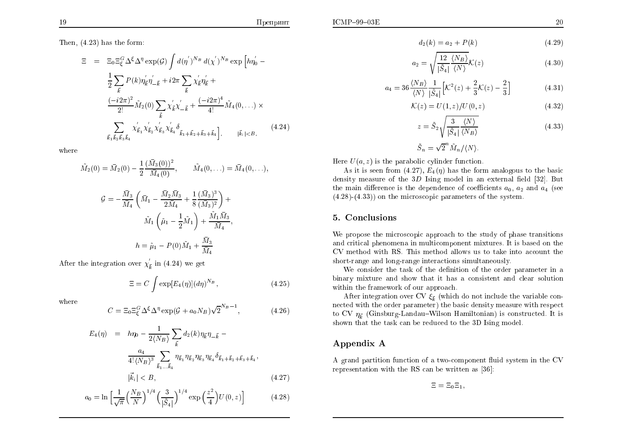$$
d_2(k) = a_2 + P(k) \tag{4.29}
$$

$$
a_2 = \sqrt{\frac{12}{|\tilde{S}_4|} \frac{\langle N_B \rangle}{\langle N \rangle}} \mathcal{K}(z)
$$
\n(4.30)

$$
a_4 = 36 \frac{\langle N_B \rangle}{\langle N \rangle} \frac{1}{|\tilde{S}_4|} \Big[ K^2(z) + \frac{2}{3} K(z) - \frac{2}{3} \Big] \tag{4.31}
$$

$$
\mathcal{K}(z) = U(1, z) / U(0, z) \tag{4.32}
$$

$$
z = \tilde{S}_2 \sqrt{\frac{3}{|\tilde{S}_4|} \frac{\langle N \rangle}{\langle N_B \rangle}}
$$
(4.33)

$$
\tilde{S}_n = \sqrt{2}^n \tilde{M}_n / \langle N \rangle.
$$

Here  $U(a, z)$  is the parabolic cylinder function.

As it is seen from (4.27),  $E_4(\eta)$  has the form analogous to the basic density measure of the  $3D$  Ising model in an external field [32]. But the main difference is the dependence of coefficients  $a_0$ ,  $a_2$  and  $a_4$  (see  $(4.28)-(4.33)$  on the microscopic parameters of the system.

## 5. Conclusions

We propose the microscopic approach to the study of phase transitions and critical phenomena in multicomponent mixtures. It is based on the CV method with RS. This method allows us to take into account the short-range and long-range interactions simultaneously.

We consider the task of the definition of the order parameter in a binary mixture and show that it has a consistent and clear solution within the framework of our approach.

After integration over CV  $\xi_{\vec{k}}$  (which do not include the variable connected with the order parameter) the basic density measure with respect to CV  $\eta_{\vec{k}}$  (Ginsburg-Landau–Wilson Hamiltonian) is constructed. It is shown that the task can be reduced to the 3D Ising model.

## Appendix A

A grand partition function of a two-component fluid system in the CV representation with the RS can be written as [36]:

$$
\Xi=\Xi_0\Xi_1,
$$

Then,  $(4.23)$  has the form:

$$
\Xi = \Xi_0 \Xi_{\xi}^G \Delta^{\xi} \Delta^{\eta} \exp(\mathcal{G}) \int d(\eta^{'})^{N_B} d(\chi^{'})^{N_B} \exp \left[ h\eta^{'}_0 - \frac{1}{2} \sum_{\vec{k}} P(k) \eta^{'}_{\vec{k}} \eta^{'}_{-\vec{k}} + i2\pi \sum_{\vec{k}} \chi^{'}_{\vec{k}} \eta^{'}_{\vec{k}} + \frac{(-i2\pi)^2}{2!} \tilde{M}_2(0) \sum_{\vec{k}} \chi^{'}_{\vec{k}} \chi^{'}_{-\vec{k}} + \frac{(-i2\pi)^4}{4!} \tilde{M}_4(0, \ldots) \times \sum_{\vec{k}} \sum_{\vec{k} \leq \vec{k} \leq \vec{k} \leq \vec{k} \leq \vec{k} \leq \vec{k} \times \vec{k} \times \vec{k} \times \vec{k} \times \vec{k} \times \vec{k} \times \vec{k} \times \vec{k} \times \vec{k} \times \vec{k} \times \vec{k} \times \vec{k} \times \vec{k} \times \vec{k} \times \vec{k} \times \vec{k} \times \vec{k} \times \vec{k} \times \vec{k} \times \vec{k} \times \vec{k} \times \vec{k} \times \vec{k} \times \vec{k} \times \vec{k} \times \vec{k} \times \vec{k} \times \vec{k} \times \vec{k} \times \vec{k} \times \vec{k} \times \vec{k} \times \vec{k} \times \vec{k} \times \vec{k} \times \vec{k} \times \vec{k} \times \vec{k} \times \vec{k} \times \vec{k} \times \vec{k} \times \vec{k} \times \vec{k} \times \vec{k} \times \vec{k} \times \vec{k} \times \vec{k} \times \vec{k} \times \vec{k} \times \vec{k} \times \vec{k} \times \vec{k} \times \vec{k} \times \vec{k} \times \vec{k} \times \vec{k} \times \vec{k} \times \vec{k} \times \vec{k} \times \vec{k} \times \vec{k} \times \vec{k} \times \vec{k} \times \vec{k} \times \vec{k} \times \vec{k} \times \vec{k} \times \vec{k} \times \vec{k} \times \vec{k} \times \vec{k} \times \vec{k} \times \vec{k} \times \vec{k} \times \vec{k} \times \vec{k} \times \vec{k} \times \vec{k} \times \vec{k} \times \vec{k} \times \vec{k} \times \vec{k} \times \vec{k} \times \
$$

where

$$
\tilde{M}_2(0) = \bar{M}_2(0) - \frac{1}{2} \frac{(\bar{M}_3(0))^2}{\bar{M}_4(0)}, \qquad \tilde{M}_4(0, \ldots) = \bar{M}_4(0, \ldots)
$$

$$
\mathcal{G} = -\frac{M_3}{\bar{M}_4} \left( \bar{M}_1 - \frac{M_2 M_3}{2\bar{M}_4} + \frac{1}{8} \frac{(M_3)^3}{(\bar{M}_3)^2} \right) +
$$
  

$$
\tilde{M}_1 \left( \tilde{\mu}_1 - \frac{1}{2} \tilde{M}_1 \right) + \frac{\tilde{M}_1 \bar{M}_3}{\bar{M}_4},
$$
  

$$
h = \tilde{\mu}_1 - P(0) \tilde{M}_1 + \frac{\bar{M}_3}{\bar{M}_4}
$$

After the integration over  $\chi'_{\vec{k}}$  in (4.24) we get

$$
\Xi = C \int \exp[E_4(\eta)] (d\eta)^{N_B}, \qquad (4.25)
$$

where

$$
C = \Xi_0 \Xi_\xi^G \Delta^\xi \Delta^\eta \exp(\mathcal{G} + a_0 N_B) \sqrt{2}^{N_B - 1}, \tag{4.26}
$$

$$
E_4(\eta) = h\eta_0 - \frac{1}{2\langle N_B \rangle} \sum_{\vec{k}} d_2(k)\eta_{\vec{k}}\eta_{-\vec{k}} - \frac{a_4}{4!\langle N_B \rangle^3} \sum_{\vec{k}_1...\vec{k}_4} \eta_{\vec{k}_1} \eta_{\vec{k}_2} \eta_{\vec{k}_3} \eta_{\vec{k}_4} \delta_{\vec{k}_1+\vec{k}_2+\vec{k}_3+\vec{k}_4},
$$
  

$$
|\vec{k}_i| < B,
$$
 (4.27)

$$
a_0 = \ln \left[ \frac{1}{\sqrt{\pi}} \left( \frac{N_B}{N} \right)^{1/4} \left( \frac{3}{|\tilde{S}_4|} \right)^{1/4} \exp \left( \frac{z^2}{4} \right) U(0, z) \right]
$$
(4.28)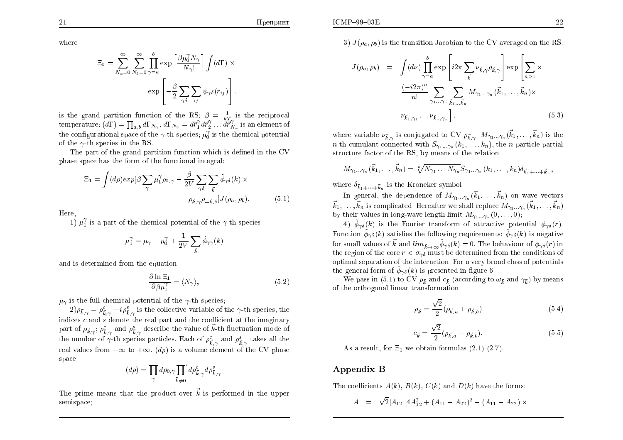where

$$
\Xi_0 = \sum_{N_a=0}^{\infty} \sum_{N_b=0}^{\infty} \prod_{\gamma=a}^{b} \exp\left[\frac{\beta \mu_0^{\gamma} N_{\gamma}}{N_{\gamma}!}\right] \int (d\Gamma) \times \exp\left[-\frac{\beta}{2} \sum_{\gamma \delta} \sum_{ij} \psi_{\gamma \delta}(r_{ij})\right].
$$

is the grand partition function of the RS;  $\beta = \frac{1}{kT}$  is the reciprocal temperature;  $(d\Gamma) = \prod_{a,b} d\Gamma_{N_{\gamma}}, d\Gamma_{N_{\gamma}} = d\vec{r}_{1}^{\gamma} d\vec{r}_{2}^{\gamma} \dots d\vec{r}_{N_{\gamma}}^{\gamma}$  is an element of the configurational space of the  $\gamma$ -th species;  $\mu_0^{\gamma}$  is the chemical potential of the  $\gamma$ -th species in the RS

The part of the grand partition function which is defined in the CV phase space has the form of the functional integral:

$$
\Xi_1 = \int (d\rho) exp[\beta \sum_{\gamma} \mu_1^{\gamma} \rho_{0,\gamma} - \frac{\beta}{2V} \sum_{\gamma \delta} \sum_{\vec{k}} \tilde{\phi}_{\gamma \delta}(k) \times
$$

$$
\rho_{\vec{k},\gamma} \rho_{-\vec{k},\delta} J(\rho_a, \rho_b).
$$
(5.1)

Here

1)  $\mu_1^{\gamma}$  is a part of the chemical potential of the  $\gamma$ -th species

$$
\mu_1^{\gamma} = \mu_{\gamma} - \mu_0^{\gamma} + \frac{1}{2V} \sum_{\vec{k}} \tilde{\phi}_{\gamma \gamma}(k)
$$

and is determined from the equation

$$
\frac{\partial \ln \Xi_1}{\partial \beta \mu_1^{\gamma}} = \langle N_{\gamma} \rangle, \tag{5.2}
$$

 $\mu_{\gamma}$  is the full chemical potential of the  $\gamma$ -th species;

 $(2)\rho_{\vec{k},\gamma} = \rho_{\vec{k},\gamma}^c - i\rho_{\vec{k},\gamma}^s$  is the collective variable of the  $\gamma$ -th species, the indices  $c$  and  $s$  denote the real part and the coefficient at the imaginary part of  $\rho_{\vec{k},\gamma}$ ;  $\rho_{\vec{k},\gamma}^c$  and  $\rho_{\vec{k},\gamma}^s$  describe the value of  $\vec{k}$ -th fluctuation mode of the number of  $\gamma$ -th species particles. Each of  $\rho_{\vec{k},\gamma}^c$  and  $\rho_{\vec{k},\gamma}^s$  takes all the real values from  $-\infty$  to  $+\infty$ . (dp) is a volume element of the CV phase space:

$$
(d\rho) = \prod_{\gamma} d\rho_{0,\gamma} \prod_{\vec{k}\neq 0}^{\prime} d\rho_{\vec{k},\gamma}^c d\rho_{\vec{k},\gamma}^s
$$

The prime means that the product over  $\vec{k}$  is performed in the upper semispace;

3)  $J(\rho_a, \rho_b)$  is the transition Jacobian to the CV averaged on the RS:

$$
J(\rho_a, \rho_b) = \int (d\nu) \prod_{\gamma=a}^b \exp\left[i2\pi \sum_{\vec{k}} \nu_{\vec{k}, \gamma} \rho_{\vec{k}, \gamma}\right] \exp\left[\sum_{n\geq 1} \times \frac{(-i2\pi)^n}{n!} \sum_{\gamma_1 \dots \gamma_n} \sum_{\vec{k}_1 \dots \vec{k}_n} M_{\gamma_1 \dots \gamma_n}(\vec{k}_1, \dots, \vec{k}_n) \times \nu_{\vec{k}_1, \gamma_1} \dots \nu_{\vec{k}_n, \gamma_n}\right],
$$
\n
$$
(5.3)
$$

where variable  $\nu_{\vec{k},\gamma}$  is conjugated to CV  $\rho_{\vec{k},\gamma}$ .  $M_{\gamma_1...\gamma_n}(\vec{k}_1,\ldots,\vec{k}_n)$  is the *n*-th cumulant connected with  $S_{\gamma_1...\gamma_n}(k_1,...,k_n)$ , the *n*-particle partial structure factor of the RS, by means of the relation

$$
M_{\gamma_1...\gamma_n}(\vec{k}_1,\ldots,\vec{k}_n) = \sqrt[n]{N_{\gamma_1}\ldots N_{\gamma_n}} S_{\gamma_1...\gamma_n}(k_1,\ldots,k_n) \delta_{\vec{k}_1+\cdots+\vec{k}_n},
$$

where  $\delta_{\vec{k}_1 + \cdots + \vec{k}_n}$  is the Kroneker symbol.

In general, the dependence of  $M_{\gamma_1...\gamma_n}(\vec{k}_1,...,\vec{k}_n)$  on wave vectors  $\vec{k}_1,\ldots,\vec{k}_n$  is complicated. Hereafter we shall replace  $M_{\gamma_1,\ldots,\gamma_n}(\vec{k}_1,\ldots,\vec{k}_n)$ by their values in long-wave length limit  $M_{\gamma_1...\gamma_n}(0,\ldots,0);$ 

4)  $\tilde{\phi}_{\gamma\delta}(k)$  is the Fourier transform of attractive potential  $\phi_{\gamma\delta}(r)$ . Function  $\tilde{\phi}_{\gamma\delta}(k)$  satisfies the following requirements:  $\tilde{\phi}_{\gamma\delta}(k)$  is negative for small values of  $\vec{k}$  and  $\lim_{\vec{k}\to\infty}\tilde{\phi}_{\gamma\delta}(k)=0$ . The behaviour of  $\phi_{\gamma\delta}(r)$  in the region of the core  $r < \sigma_{\gamma\delta}$  must be determined from the conditions of optimal separation of the interaction. For a very broad class of potentials the general form of  $\tilde{\phi}_{\gamma\delta}(k)$  is presented in figure 6.

We pass in (5.1) to CV  $\rho_{\vec{k}}$  and  $c_{\vec{k}}$  (according to  $\omega_{\vec{k}}$  and  $\gamma_{\vec{k}}$ ) by means of the orthogonal linear transformation:

$$
\rho_{\vec{k}} = \frac{\sqrt{2}}{2} (\rho_{\vec{k},a} + \rho_{\vec{k},b}) \tag{5.4}
$$

$$
c_{\vec{k}} = \frac{\sqrt{2}}{2} (\rho_{\vec{k},a} - \rho_{\vec{k},b}).
$$
\n(5.5)

As a result, for  $\Xi_1$  we obtain formulas (2.1)-(2.7)

#### Appendix B

The coefficients  $A(k)$ ,  $B(k)$ ,  $C(k)$  and  $D(k)$  have the forms:

$$
A = \sqrt{2}|A_{12}|[4A_{12}^2 + (A_{11} - A_{22})^2 - (A_{11} - A_{22}) \times
$$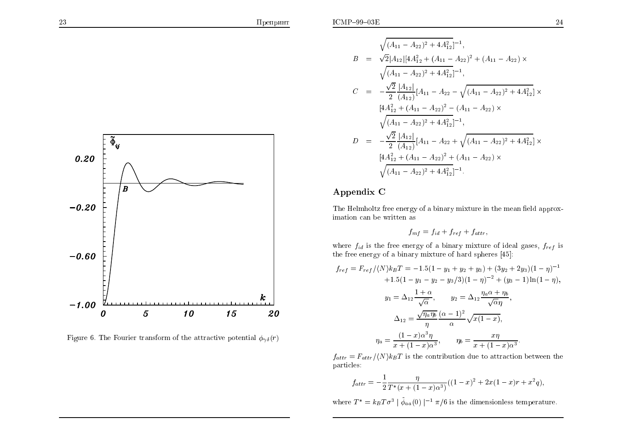

Figure 6. The Fourier transform of the attractive potential  $\phi_{\gamma\delta}(r)$ 

$$
\sqrt{(A_{11} - A_{22})^2 + 4A_{12}^2}^{-1},
$$
\n
$$
B = \sqrt{2}|A_{12}|[4A_{12}^2 + (A_{11} - A_{22})^2 + (A_{11} - A_{22}) \times
$$
\n
$$
\sqrt{(A_{11} - A_{22})^2 + 4A_{12}^2}^{-1},
$$
\n
$$
C = -\frac{\sqrt{2}}{2}\frac{|A_{12}|}{(A_{12})}[A_{11} - A_{22} - \sqrt{(A_{11} - A_{22})^2 + 4A_{12}^2}] \times
$$
\n
$$
[4A_{12}^2 + (A_{11} - A_{22})^2 - (A_{11} - A_{22}) \times
$$
\n
$$
\sqrt{(A_{11} - A_{22})^2 + 4A_{12}^2}^{-1},
$$
\n
$$
D = -\frac{\sqrt{2}}{2}\frac{|A_{12}|}{(A_{12})}[A_{11} - A_{22} + \sqrt{(A_{11} - A_{22})^2 + 4A_{12}^2}] \times
$$
\n
$$
[4A_{12}^2 + (A_{11} - A_{22})^2 + (A_{11} - A_{22}) \times
$$
\n
$$
\sqrt{(A_{11} - A_{22})^2 + 4A_{12}^2}^{-1}^{-1}.
$$

# Appendix <sup>C</sup>

The Helmholtz free energy of a binary mixture in the mean field approximation can be written as

$$
f_{mf} = f_{id} + f_{ref} + f_{attr},
$$

where  $f_{id}$  is the free energy of a binary mixture of ideal gases,  $f_{ref}$  is the free energy of <sup>a</sup> binary mixture of hard spheres [45]:

$$
f_{ref} = F_{ref} / \langle N \rangle k_B T = -1.5(1 - y_1 + y_2 + y_3) + (3y_2 + 2y_3)(1 - \eta)^{-1}
$$
  
+1.5(1 - y\_1 - y\_2 - y\_3/3)(1 - \eta)^{-2} + (y\_3 - 1) \ln(1 - \eta),  

$$
y_1 = \Delta_{12} \frac{1 + \alpha}{\sqrt{\alpha}}, \qquad y_2 = \Delta_{12} \frac{\eta_a \alpha + \eta_b}{\sqrt{\alpha} \eta},
$$
  

$$
\Delta_{12} = \frac{\sqrt{\eta_a \eta_b}}{\eta} \frac{(\alpha - 1)^2}{\alpha} \sqrt{x(1 - x)},
$$
  

$$
\eta_a = \frac{(1 - x)\alpha^3 \eta}{x + (1 - x)\alpha^3}, \qquad \eta_b = \frac{x\eta}{x + (1 - x)\alpha^3}.
$$

 $f_{attr} = F_{attr} / \langle N \rangle k_BT$  is the contribution due to attraction between the particles:

$$
f_{attr} = -\frac{1}{2} \frac{\eta}{T^*(x + (1 - x)\alpha^3)}((1 - x)^2 + 2x(1 - x)r + x^2q),
$$

where  $T^* = k_B T \sigma^3 \mid \tilde{\phi}_{aa}(0) \mid^{-1} \pi/6$  is the dimensionless temperature.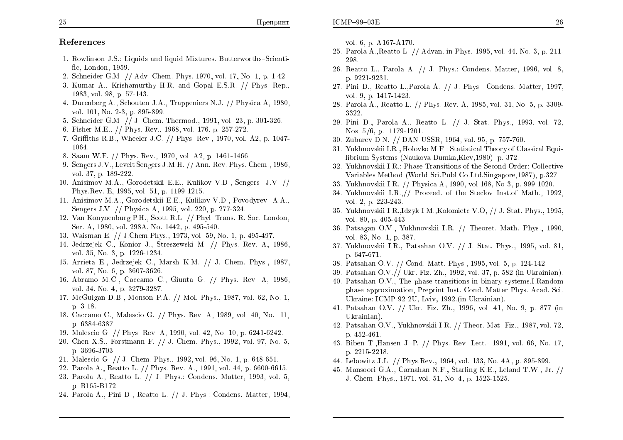26

## References

- 1. Rowlinson J.S.: Liquids and liquid Mixtures. Butterworths-Scientific. London. 1959.
- 2. Schneider G.M. // Adv. Chem. Phys. 1970, vol. 17, No. 1, p. 1-42.
- 3. Kumar A., Krishamurthy H.R. and Gopal E.S.R. // Phys. Rep., 1983, vol. 98, p. 57-143.
- 4. Durenberg A., Schouten J.A., Trappeniers N.J. // Physica A, 1980, vol. 101, No. 2-3, p. 895-899.
- 5. Schneider G.M. // J. Chem. Thermod., 1991, vol. 23, p. 301-326.
- 6. Fisher M.E., // Phys. Rev., 1968, vol. 176, p. 257-272.
- 7. Griffiths R.B., Wheeler J.C. // Phys. Rev., 1970, vol. A2, p. 1047-1064.
- 8. Saam W.F. // Phys. Rev., 1970, vol. A2, p. 1461-1466.
- 9. Sengers J.V., Levelt Sengers J.M.H. // Ann. Rev. Phys. Chem., 1986, vol. 37, p. 189-222.
- 10. Anisimov M.A., Gorodetskii E.E., Kulikov V.D., Sengers J.V. // Phys.Rev. E, 1995, vol. 51, p. 1199-1215.
- 11. Anisimov M.A., Gorodetskii E.E., Kulikov V.D., Povodyrev A.A., Sengers J.V. // Physica A, 1995, vol. 220, p. 277-324.
- 12. Van Konvnenburg P.H., Scott R.L. // Phyl. Trans. R. Soc. London, Ser. A, 1980, vol. 298A, No. 1442, p. 495-540.
- 13. Waisman E. // J. Chem. Phys., 1973, vol. 59, No. 1, p. 495-497.
- 14. Jedrzejek C., Konior J., Streszewski M. // Phys. Rev. A, 1986, vol. 35, No. 3, p. 1226-1234.
- 15. Arrieta E., Jedrzejek C., Marsh K.M. // J. Chem. Phys., 1987, vol. 87, No. 6, p. 3607-3626.
- 16. Abramo M.C., Caccamo C., Giunta G. // Phys. Rev. A, 1986, vol. 34, No. 4, p. 3279-3287.
- 17. McGuigan D.B., Monson P.A. // Mol. Phys., 1987, vol. 62, No. 1,  $p.3-18.$
- 18. Caccamo C., Malescio G. // Phys. Rev. A, 1989, vol. 40, No. 11, p. 6384-6387.
- 19. Malescio G. // Phys. Rev. A, 1990, vol. 42, No. 10, p. 6241-6242.
- 20. Chen X.S., Forstmann F. // J. Chem. Phys., 1992, vol. 97, No. 5, p. 3696-3703.
- 21. Malescio G. // J. Chem. Phys., 1992, vol. 96, No. 1, p. 648-651.
- 22. Parola A., Reatto L. // Phys. Rev. A., 1991, vol. 44, p. 6600-6615.
- 23. Parola A., Reatto L. // J. Phys.: Condens. Matter, 1993, vol. 5, p. B165-B172.
- 24. Parola A., Pini D., Reatto L. // J. Phys.: Condens. Matter, 1994.

vol. 6, p. A167-A170.

- 25. Parola A., Reatto L. // Advan. in Phys. 1995, vol. 44, No. 3, p. 211-298.
- 26. Reatto L., Parola A. // J. Phys.: Condens. Matter, 1996, vol. 8, p. 9221-9231.
- 27. Pini D., Reatto L., Parola A. // J. Phys.: Condens. Matter, 1997. vol. 9, p.  $1417-1423$ .
- 28. Parola A., Reatto L. // Phys. Rev. A, 1985, vol. 31, No. 5, p. 3309-3322.
- 29. Pini D., Parola A., Reatto L. // J. Stat. Phys., 1993, vol. 72, Nos.  $5/6$ , p. 1179-1201.
- 30. Zubarev D.N. // DAN USSR, 1964, vol. 95, p. 757-760.
- 31. Yukhnovskii I.R., Holovko M.F.: Statistical Theory of Classical Equilibrium Systems (Naukova Dumka, Kiev, 1980). p. 372.
- 32. Yukhnovskii I.R.: Phase Transitions of the Second Order: Collective Variables Method (World Sci.Publ.Co.Ltd.Singapore,1987), p.327.
- 33. Yukhnovskii I.R. // Physica A, 1990, vol.168, No 3, p. 999-1020.
- 34. Yukhnovskii I.R. // Proceed. of the Steclov Inst. of Math., 1992. vol. 2, p. 223-243.
- 35. Yukhnovskii I.R., Idzyk I.M., Kolomietc V.O. // J. Stat. Phys., 1995. vol. 80, p. 405-443.
- 36. Patsagan O.V., Yukhnovskii I.R. // Theoret. Math. Phys., 1990. vol. 83, No. 1, p. 387.
- 37. Yukhnovskii I.R., Patsahan O.V. // J. Stat. Phys., 1995, vol. 81, p. 647-671.
- 38. Patsahan O.V. // Cond. Matt. Phys., 1995, vol. 5, p. 124-142.
- 39. Patsahan O.V.// Ukr. Fiz. Zh., 1992, vol. 37, p. 582 (in Ukrainian).
- 40. Patsahan O.V., The phase transitions in binary systems. I. Random phase approximation, Preprint Inst. Cond. Matter Phys. Acad. Sci. Ukraine: ICMP-92-2U, Lviv, 1992. (in Ukrainian).
- 41. Patsahan O.V. // Ukr. Fiz. Zh., 1996, vol. 41, No. 9, p. 877 (in Ukrainian).
- 42. Patsahan O.V., Yukhnovskii I.R. // Theor. Mat. Fiz., 1987, vol. 72, p. 452-461.
- 43. Biben T., Hansen J.-P. // Phys. Rev. Lett. 1991, vol. 66, No. 17, p. 2215-2218.
- 44. Lebowitz J.L. // Phys. Rev., 1964, vol. 133, No. 4A, p. 895-899.
- 45. Mansoori G.A., Carnahan N.F., Starling K.E., Leland T.W., Jr. // J. Chem. Phys., 1971, vol. 51, No. 4, p. 1523-1525.